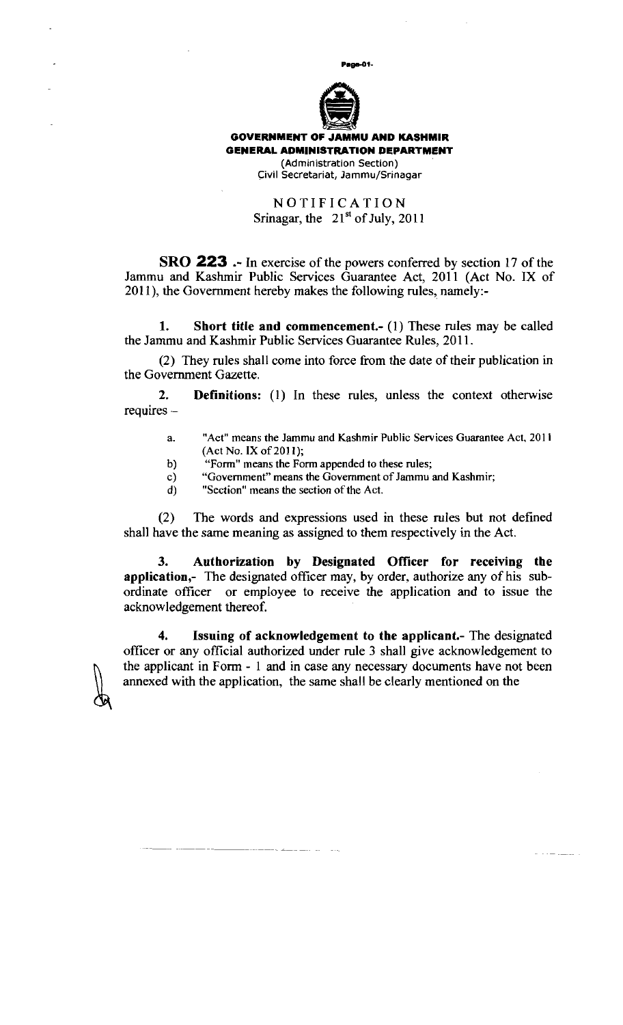

### NOTIFICATION Srinagar, the  $21<sup>st</sup>$  of July, 2011

**SRO 223** .- In exercise of the powers conferred by section 17 of the Jammu and Kashmir Public Services Guarantee Act, 2011 (Act No. IX of 2011), the Government hereby makes the following rules, namely:-

**1. Short title and commencement.-** (1) These rules may be called the Jammu and Kashmir Public Services Guarantee Rules, 2011.

(2) They rules shall come into force from the date of their publication in the Government Gazette.

**2. Definitions:** (1) In these rules, unless the context otherwise requires -

- a. "Act" means the Jammu and Kashmir Public Services Guarantee Act. 201 1 (Act No. **IX** of 201 **I);**
- b) "Form" means the Form appended to these rules;
- c) "Government" means the Government of Jammu and Kashmir;<br>d) "Section" means the section of the Act.
- "Section" means the section of the Act.

للماليات

(2) The words and expressions used in these rules but not defined shall have the same meaning as assigned to them respectively in the Act.

3. Authorization by Designated Officer for receiving the **application,-** The designated officer may, by order, authorize any of his subordinate officer or employee to receive the application and to issue the acknowledgement thereof.

**4. Issuing of acknowledgement to the applicant.-** The designated officer or any official authorized under rule 3 shall give acknowledgement to the applicant in Form - 1 and in case any necessary documents have not been annexed with the application, the same shall be clearly mentioned on the

المستدعاء المحافظ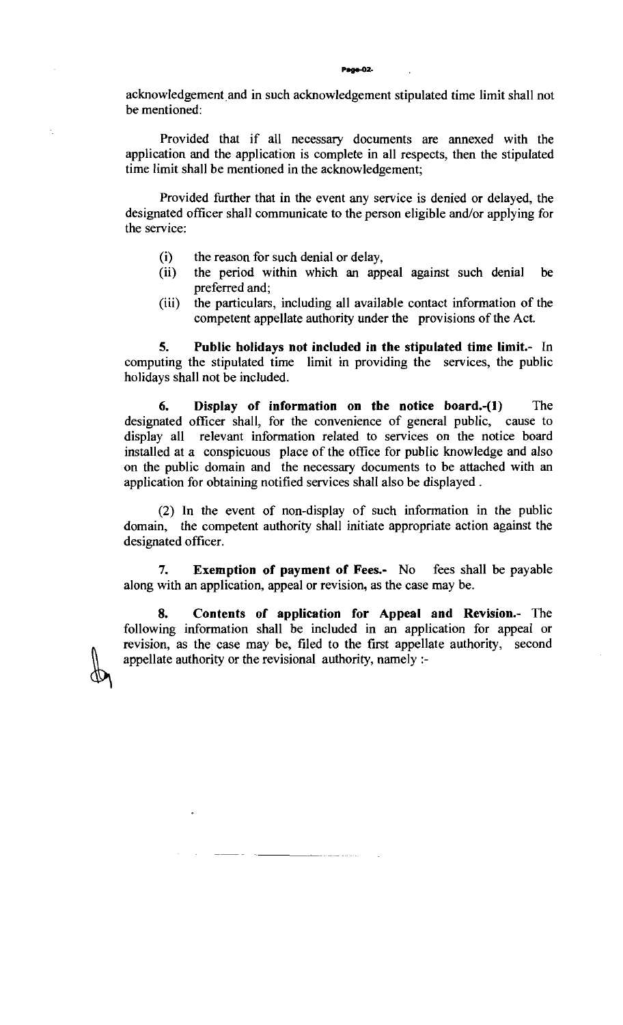acknowledgement and in such acknowledgement stipulated time limit shall not be mentioned:

Provided that if all necessary documents are annexed with the application and the application is complete in all respects, then the stipulated time limit shall be mentioned in the acknowledgement;

Provided further that in the event any service is denied or delayed, the designated officer shall communicate to the person eligible and/or applying for the service:

- (i) the reason for such denial or delay,<br>(ii) the period within which an app
- the period within which an appeal against such denial be preferred and;
- (iii) the particulars, including all available contact information of the competent appellate authority under the provisions of the Act.

**5. Public holidays not included in the stipulated time limit.-** In computing the stipulated time limit in providing the services, the public holidays shall not be included.

**6. Display of information on the notice board.-(1)** The designated officer shall, for the convenience of general public, cause to display all relevant information related to services on the notice board installed at a conspicuous place of the ofice for public knowledge and also on the public domain and the necessary documents to be attached with an application for obtaining notified services shall also be displayed .

(2) In the event of non-display of such information in the public domain, the competent authority shall initiate appropriate action against the designated officer.

**7. Exemption of payment of Fees-** No fees shall be payable along with an application, appeal or revision, as the case may be.

**8. Contents of application for Appeal and Revision.-** The following information shall be included in an application for appeal or revision, as the case may be, filed to the first appellate authority, second appellate authority or the revisional authority, namely :-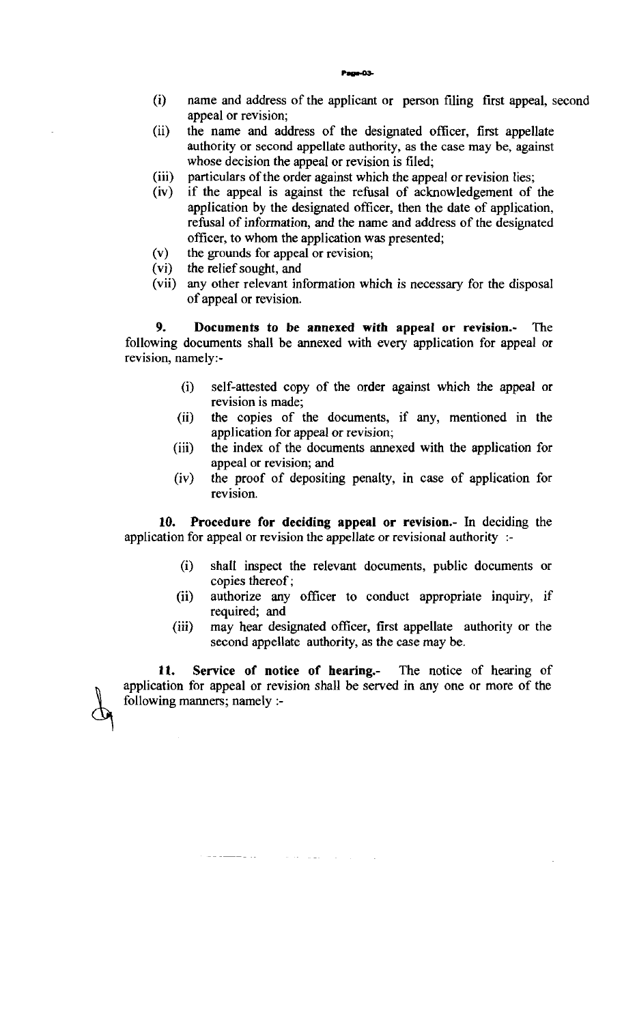- (i) name and address of the applicant or person filing first appeal, second appeal or revision;
- (ii) the name and address of the designated officer, first appellate authority or second appellate authority, as the case may be, against whose decision the appeal or revision is filed;
- (iii) particulars of the order against which the appeal or revision lies;<br>(iv) if the appeal is against the refusal of acknowledgement of
- if the appeal is against the refusal of acknowledgement of the application by the designated officer, then the date of application, refusal of information, and the name and address of the designated officer, to whom the application was presented;
- (v) the grounds for appeal or revision;<br>(vi) the relief sought, and
- the relief sought, and
- (vii) any other relevant information which is necessary for the disposal of appeal or revision.

**9. Documents to be annexed with appeal or revision.-** The following documents shall be annexed with every application for appeal or revision, namely:-

- (i) self-attested copy of the order against which the appeal or revision is made;
- (ii) the copies of the documents, if any, mentioned in the application for appeal or revision;
- (iii) the index of the documents annexed with the application for appeal or revision; and
- (iv) the proof of depositing penalty, in case of application for revision.

**10. Procedure for deciding appeal or revision.-** In deciding the application for appeal or revision the appellate or revisional authority :-

- **(i)** shall inspect the relevant documents, public documents or copies thereof;
- (ii) authorize any officer to conduct appropriate inquiry, if required: and
- (iii) may hear designated officer, first appellate authority or the second appellate authority, as the case may be.

**11. Service of notice of hearing.-** The notice of hearing of application for appeal or revision shall be served in any one or more of the following manners; namely :-

 $\alpha$  ,  $\alpha$  ,  $\beta$  ,  $\alpha$  ,  $\beta$  ,  $\beta$  ,  $\beta$ 

. . . <u>. . .</u> . . .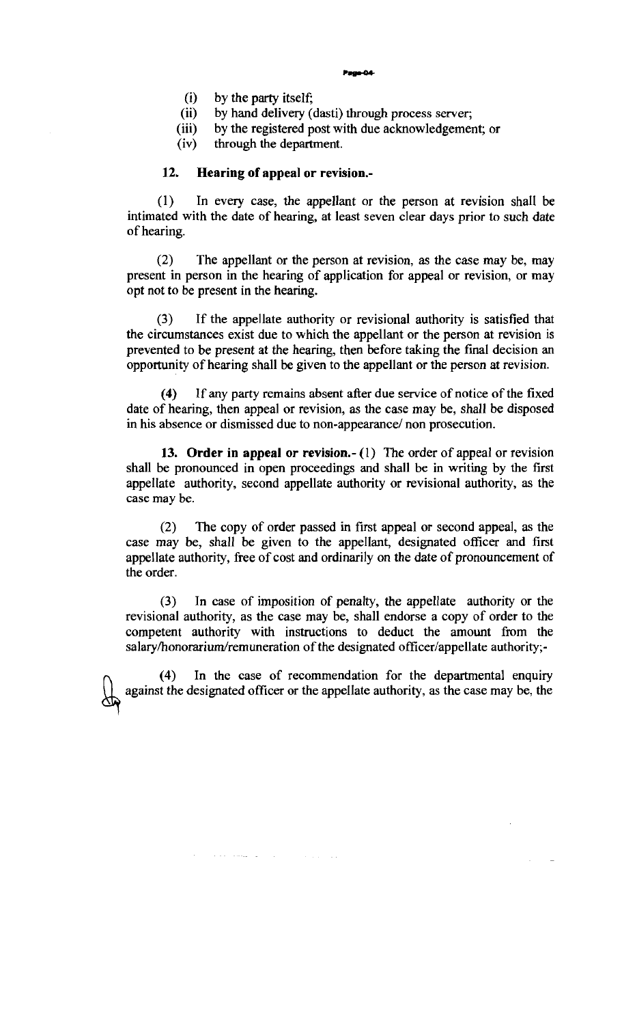Page-04

- (i) by the party itself;
- (ii) by hand delivery (dasti) through process server;<br>(iii) by the registered post with due acknowledgement
- (iii) by the registered post with due acknowledgement; or (iv) through the department.

through the department.

#### **12.** Hearing of appeal or revision.-

(1) In every case, the appellant or the person at revision shall be intimated with the date of hearing, at least seven clear days prior to such date of hearing.

(2) The appellant or the person at revision, as the case may be, may present in person in the hearing of application for appeal or revision, or may opt not to be present in the hearing.

(3) If the appellate authority or revisional authority is satisfied that the circumstances exist due to which the appellant or the person at revision is prevented to be present at the hearing, then before taking the fmal decision an opportunity of hearing shall be given to the appellant or the person at revision.

**(4)** If any party remains absent after due service of notice of the fixed date of hearing, then appeal or revision, as the case may be, shall be disposed in his absence or dismissed due to non-appearance/ non prosecution.

13. Order in appeal or revision.- $(1)$  The order of appeal or revision shall be pronounced in open proceedings and shall be in writing by the first appellate authority, second appellate authority or revisional authority, as the case may be.

(2) The copy of order passed in first appeal or second appeal, as the case may be, shall be given to the appellant, designated officer and first appellate authority, free of cost and ordinarily on the date of pronouncement of the order.

(3) In case of imposition of penalty, the appellate authority or the revisional authority, as the case may be, shall endorse a copy of order to the competent authority with instructions to deduct the amount from the salary/honorarium/remuneration of the designated officer/appellate authority;-

(4) In the case of recommendation for the departmental enquiry against the designated officer or the appellate authority, as the case may be, the against the designated officer or the appellate authority, as the case may be, the

الوواد والمتحدث والمتحدث والمستحدث والانتجاب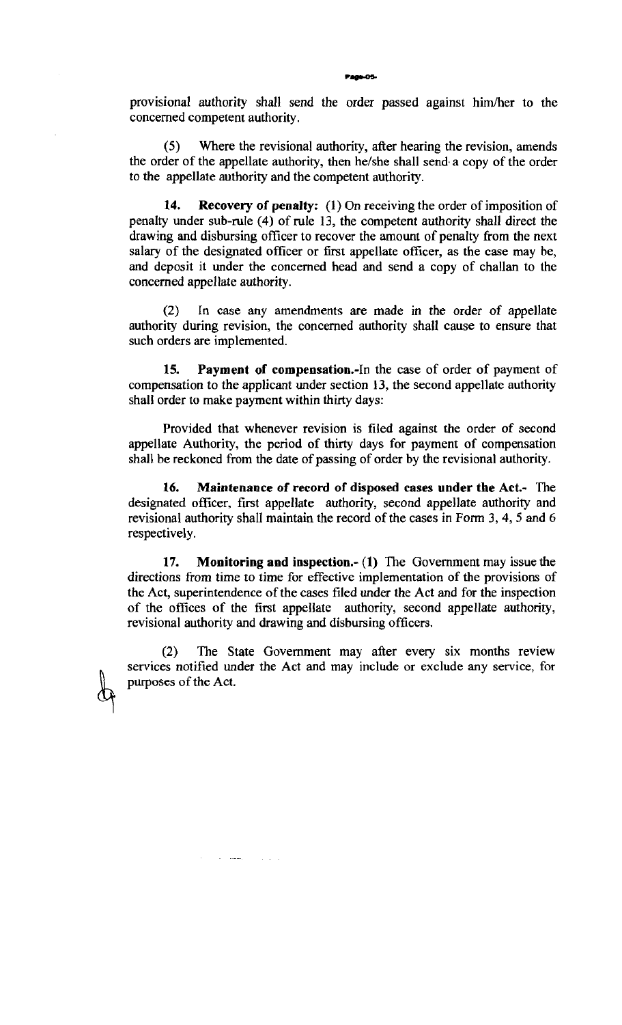provisional authority shall send the order passed against himher to the concemed competent authority.

**(5)** Where the revisional authority, after hearing the revision, amends the order of the appellate authority, then he/she shall send a copy of the order to the appellate authority and the competent authority.

**14. Recovery of penalty:** (1) On receiving the order of imposition of penalty under sub-rule (4) of rule 13, the competent authority shall direct the drawing and disbursing officer to recover the amount of penalty from the next salary of the designated officer or first appellate officer, as the case may be, and deposit it under the concemed head and send a copy of challan to the concerned appellate authority.

(2) In case any amendments are made in the order of appellate authority during revision, the concerned authority shall cause to ensure that such orders are implemented.

**15. Payment of compensation.-In** the case of order of payment of compensation to the applicant under section 13, the second appellate authority shall order to make payment within thirty days:

Provided that whenever revision is filed against the order of second appellate Authority, the period of thirty days for payment of compensation shall be reckoned from the date of passing of order by the revisional authority.

**16. Maintenance of record of disposed cases under the Act.-** The designated officer, first appellate authority, second appellate authority and revisional authority shall maintain the record of the cases in Form **3,4,5** and 6 respectively.

**17. Monitoring and inspection.- (1)** The Government may issue the directions from time to time for effective implementation of the provisions of the Act, superintendence of the cases filed under the Act and for the inspection of the offices of the first appellate authority, second appellate authority, revisional authority and drawing and disbursing officers.

(2) The State Government may afier every six months review services notified under the Act and may include or exclude any service, for purposes of the Act.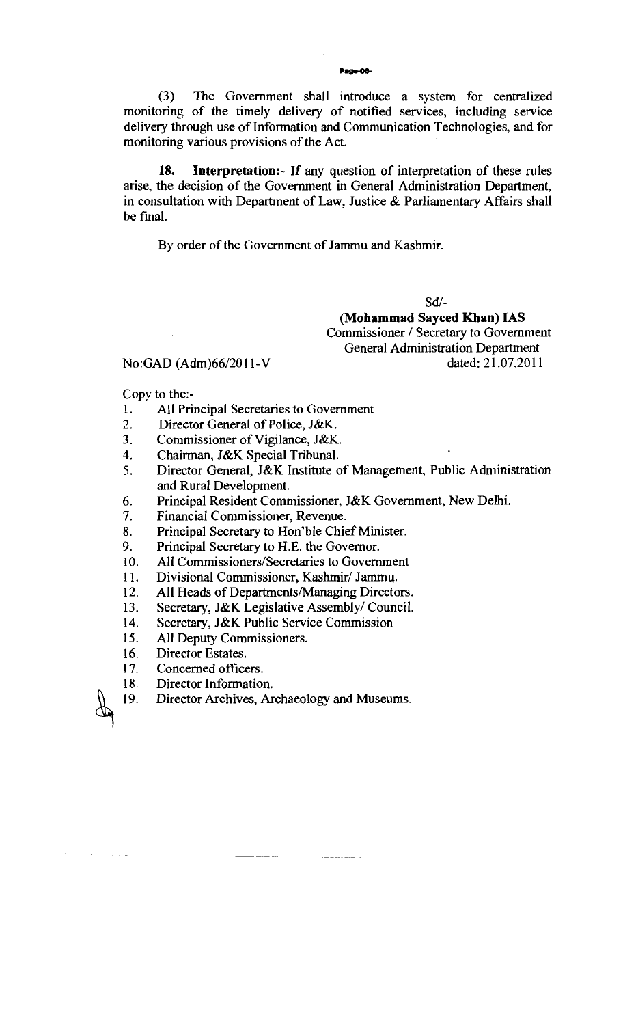**(3)** The Government shall introduce a system for centralized monitoring of the timely delivery of notified services, including service delivery through use of Information and Communication Technologies, and for monitoring various provisions of the Act.

**18. Interpretation:-** If any question of interpretation of these rules arise, the decision of the Government in General Administration Department, in consultation with Department of Law, Justice & Parliamentary Affairs shall be final.

By order of the Government of Jammu and Kashmir.

Sd/-

**(Mohammad Sayeed Khan) IAS**  Commissioner / Secretary to Government General Administration Department dated: 21.07.2011

### No:GAD (Adm)66/2011-V

Copy to the:-

- **1.** All Principal Secretaries to Government
- 2. Director General of Police, J&K.
- **3.** Commissioner of Vigilance, J&K.
- 4. Chairman, J&K Special Tribunal.
- 5. Director General, J&K Institute of Management, Public Administration and Rural Development.

- 6. Principal Resident Commissioner, J&K Government, New Delhi.<br>7. Financial Commissioner, Revenue.
- Financial Commissioner, Revenue.
- 8. Principal Secretary to Hon'ble Chief Minister.
- 9. Principal Secretary to H.E. the Governor.
- 10. All **Commissioners/Secretaries** to Government
- 11. Divisional Commissioner, Kashmir/ Jammu.
- 12. All Heads of Departments/Managing Directors.
- **13.** Secretary, J&K Legislative Assembly/ Council.
- 14. Secretary, J&K Public Service Commission
- 15. All Deputy Commissioners.
- 16. Director Estates.

 $\mathcal{L}^{\mathcal{L}}$ 

 $\sim 10^6$ 

لتألف الأ

- 17. Concerned officers.
- 18. Director Information.
- 19. Director Archives, Archaeology and Museums.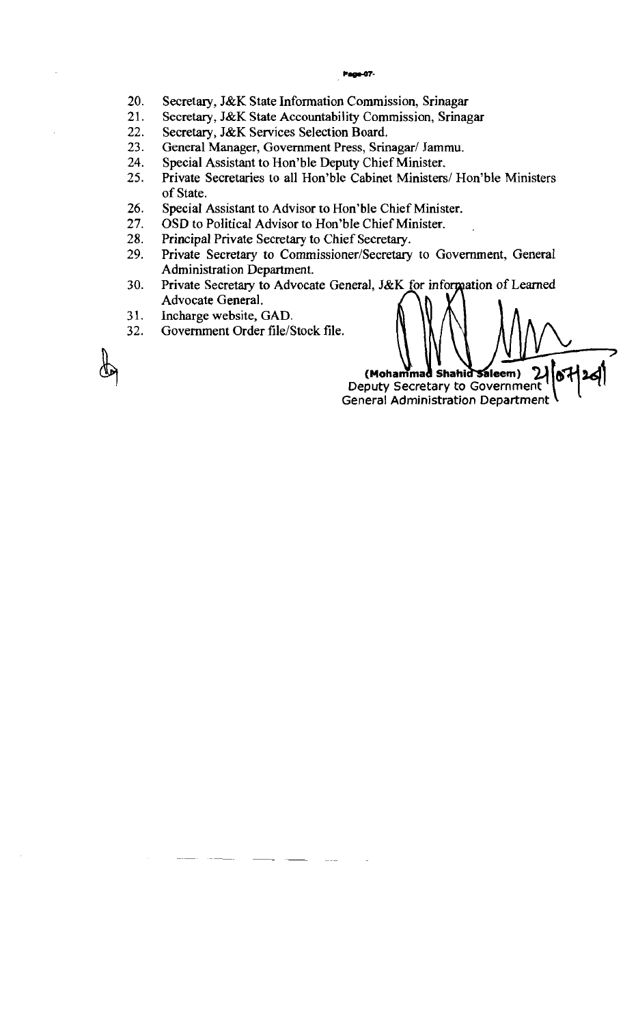#### Page-07-

- 20. Secretary, J&K State Information Commission, Srinagar
- $21.$ Secretary, J&K State Accountability Commission, Srinagar
- $22.$ Secretary, J&K Services Selection Board.
- 23. General Manager, Government Press, Srinagar/ Jammu.
- 24. Special Assistant to Hon'ble Deputy Chief Minister.
- 25. Private Secretaries to all Hon'ble Cabinet Ministers/ Hon'ble Ministers of State.
- 26. Special Assistant to Advisor to Hon'ble Chief Minister.
- 27. OSD to Political Advisor to Hon'ble Chief Minister.
- 28. Principal Private Secretary to Chief Secretary.
- 29. Private Secretary to Commissioner/Secretary to Government, General Administration Department.
- 30. Private Secretary to Advocate General, J&K for information of Learned Advocate General.
- 31. Incharge website, GAD.
- $32.$ Government Order file/Stock file.

(Mohammad Shahid Saleem) Deputy Secretary to Government **General Administration Department**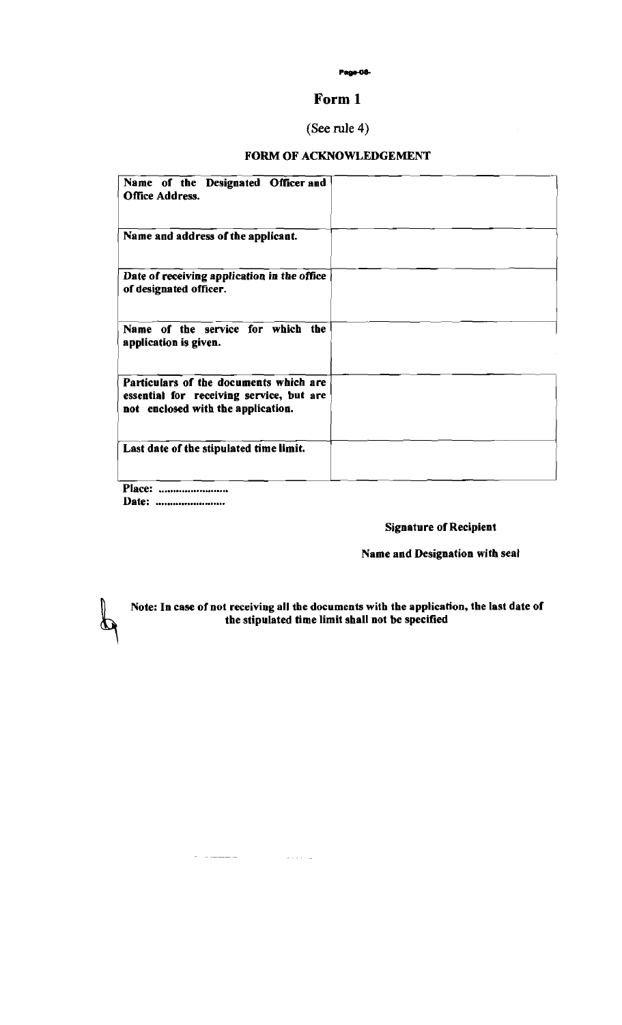#### Page-08-

### **Form 1**

### *(See* **rule** 4)

### FORM OF ACKNOWLEDGEMENT

| Name of the Designated Officer and<br><b>Office Address.</b>                                                             |  |
|--------------------------------------------------------------------------------------------------------------------------|--|
| Name and address of the applicant.                                                                                       |  |
| Date of receiving application in the office<br>of designated officer.                                                    |  |
| Name of the service for which the<br>application is given.                                                               |  |
| Particulars of the documents which are<br>essential for receiving service, but are<br>not enclosed with the application. |  |
| Last date of the stipulated time limit.                                                                                  |  |
| <b>Place:</b>                                                                                                            |  |

Place: ........................ Date: ........................

 $\mathcal{L}^{\text{c}}$  . The components of  $\mathcal{L}^{\text{c}}$ 

 $\omega$  . . . . .

 $\boldsymbol{\mathcal{D}}$ 

### Signature of Recipient

### Name and Designation with seal

Note: In case of not receiving all the documents with the application, the last date of the stipulated time limit shall not be specified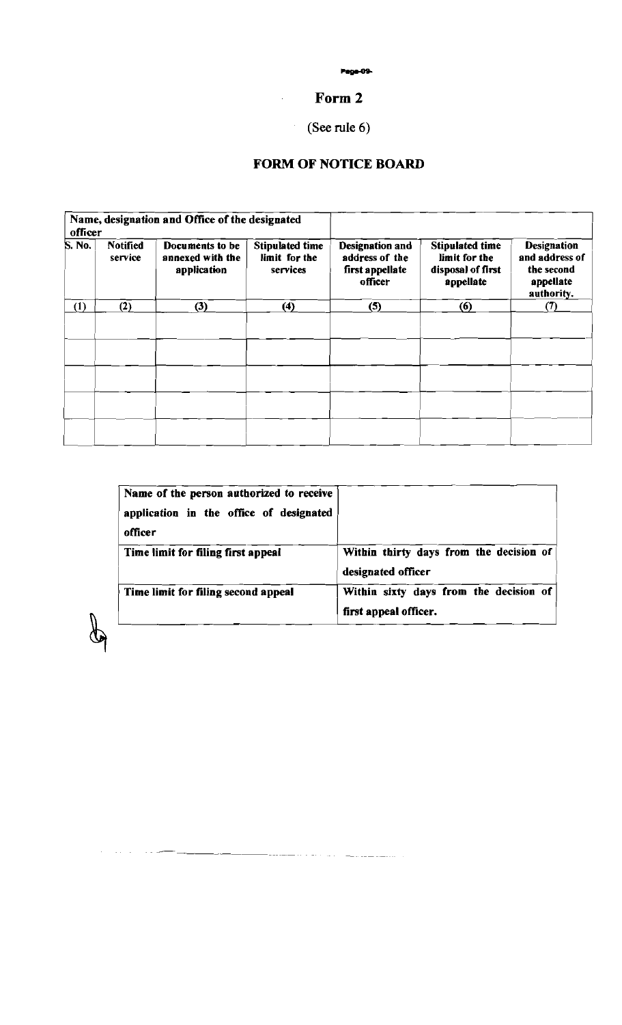## **Form 2**

# *(See* **rule** *6)*

### **FORM OF NOTICE BOARD**

|         |                            |                                                    |                                                     | <b>Page-09-</b><br>Form 2                                              |                                                                           |                                                                               |  |  |
|---------|----------------------------|----------------------------------------------------|-----------------------------------------------------|------------------------------------------------------------------------|---------------------------------------------------------------------------|-------------------------------------------------------------------------------|--|--|
|         |                            | (See rule $6$ )<br><b>FORM OF NOTICE BOARD</b>     |                                                     |                                                                        |                                                                           |                                                                               |  |  |
| officer |                            | Name, designation and Office of the designated     |                                                     |                                                                        |                                                                           |                                                                               |  |  |
| S. No.  | <b>Notified</b><br>service | Documents to be<br>annexed with the<br>application | <b>Stipulated time</b><br>limit for the<br>services | <b>Designation and</b><br>address of the<br>first appellate<br>officer | <b>Stipulated time</b><br>limit for the<br>disposal of first<br>appellate | <b>Designation</b><br>and address of<br>the second<br>appellate<br>authority. |  |  |
|         | $\overline{(2)}$           | $\overline{3}$                                     | (4)                                                 | (5)                                                                    | (6)                                                                       | (7)                                                                           |  |  |
| (1)     |                            |                                                    |                                                     |                                                                        |                                                                           |                                                                               |  |  |
|         |                            |                                                    |                                                     |                                                                        |                                                                           |                                                                               |  |  |
|         |                            |                                                    |                                                     |                                                                        |                                                                           |                                                                               |  |  |

| Name of the person authorized to receive<br>application in the office of designated<br>officer |                                                                 |
|------------------------------------------------------------------------------------------------|-----------------------------------------------------------------|
| Time limit for filing first appeal                                                             | Within thirty days from the decision of<br>designated officer   |
| Time limit for filing second appeal                                                            | Within sixty days from the decision of<br>first appeal officer. |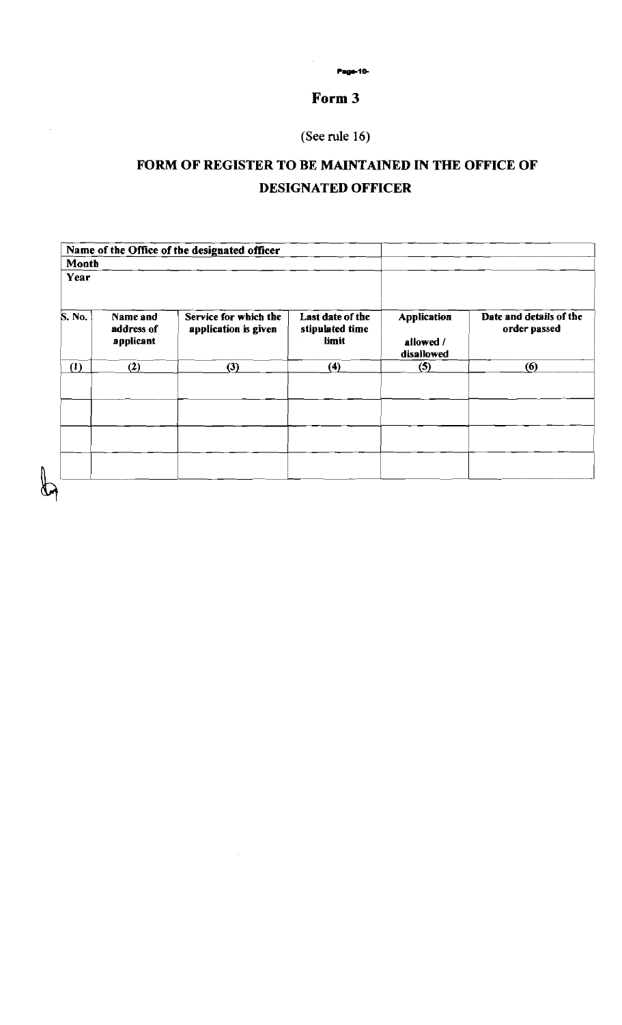**r-rc** 

### **Form 3**

**(See rule 16)** 

 $\hat{\mathcal{A}}$ 

## **FORM OF REGISTER TO BE MAINTAINED IN THE OFFICE OF DESIGNATED OFFICER**

| Date and details of the<br>order passed |
|-----------------------------------------|
|                                         |
| (6)                                     |
|                                         |
|                                         |
|                                         |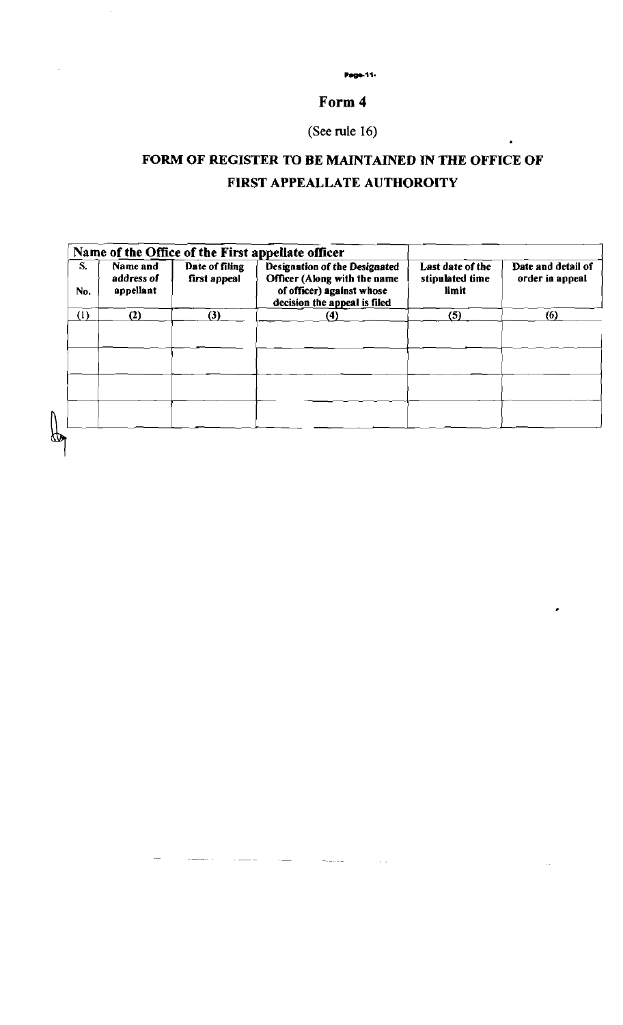**Page-11-**

### **Form 4**

## **(See** rule **16)**

# **FORM OF REGISTER TO BE MAINTAINED IN THE OFFICE OF FIRST APPEALLATE AUTHOROITY**

| S.<br>No. | Name and<br>address of<br>appellant | Date of filing<br>first appeal | Name of the Office of the First appellate officer<br><b>Designation of the Designated</b><br>Officer (Along with the name<br>of officer) against whose<br>decision the appeal is filed | Last date of the<br>stipulated time<br>limit | Date and detail of<br>order in appeal |
|-----------|-------------------------------------|--------------------------------|----------------------------------------------------------------------------------------------------------------------------------------------------------------------------------------|----------------------------------------------|---------------------------------------|
| (1)       | (2)                                 | (3)                            | (4)                                                                                                                                                                                    | (5)                                          | (6)                                   |
|           |                                     |                                |                                                                                                                                                                                        |                                              |                                       |
|           |                                     |                                |                                                                                                                                                                                        |                                              |                                       |
|           |                                     |                                |                                                                                                                                                                                        |                                              |                                       |
|           |                                     |                                |                                                                                                                                                                                        |                                              |                                       |
|           |                                     |                                |                                                                                                                                                                                        |                                              |                                       |
|           |                                     |                                |                                                                                                                                                                                        |                                              |                                       |

 $\frac{1}{2} \frac{1}{2} \frac{1}{2} \frac{1}{2} \frac{1}{2} \frac{1}{2} \frac{1}{2} \frac{1}{2} \frac{1}{2} \frac{1}{2} \frac{1}{2} \frac{1}{2} \frac{1}{2} \frac{1}{2} \frac{1}{2} \frac{1}{2} \frac{1}{2} \frac{1}{2} \frac{1}{2} \frac{1}{2} \frac{1}{2} \frac{1}{2} \frac{1}{2} \frac{1}{2} \frac{1}{2} \frac{1}{2} \frac{1}{2} \frac{1}{2} \frac{1}{2} \frac{1}{2} \frac{1}{2} \frac{$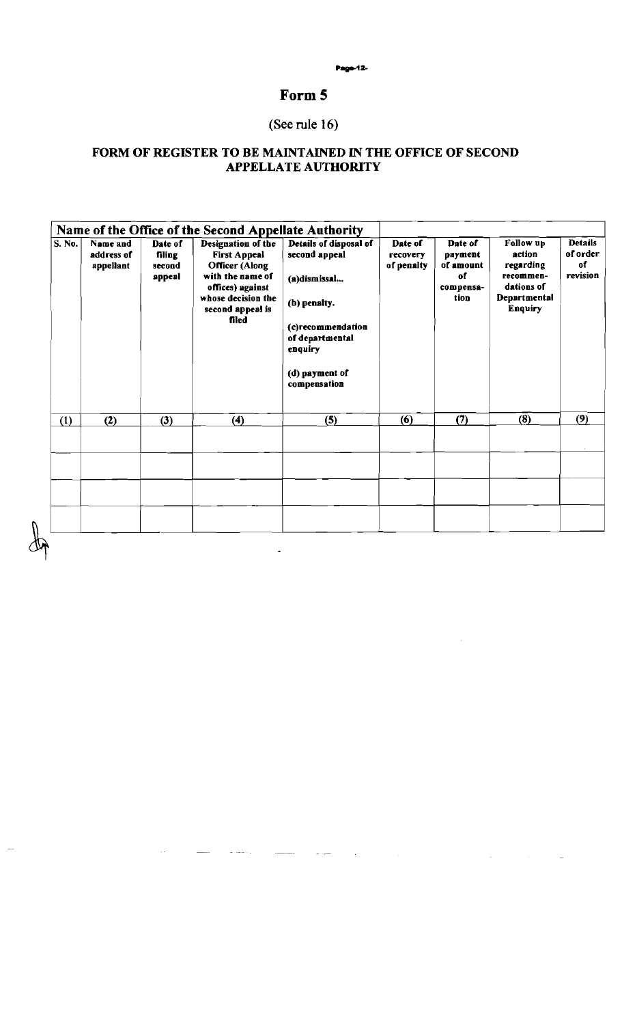#### Page-12-

### **Form 5**

# *(See* **rule 16)**

### **FORM OF REGISTER TO BE MAINTAINED IN THE OFFICE OF SECOND APPELLATE AUTHORITY**

| S. No. | Name and<br>address of<br>appellant | Date of<br>filing<br>second<br>appeal | Name of the Office of the Second Appellate Authority<br>Designation of the<br><b>First Appeal</b><br><b>Officer</b> (Along<br>with the name of<br>offices) against<br>whose decision the<br>second appeal is<br>filed | Details of disposal of<br>second appeal<br>(a)dismissal<br>(b) penalty.<br>(c)recommendation<br>of departmental<br>enquiry<br>(d) payment of<br>compensation | Date of<br>recovery<br>of penalty | Date of<br>payment<br>of amount<br>of<br>compensa-<br>tion | Follow up<br>action<br>regarding<br>recommen-<br>dations of<br>Departmental<br>Enquiry | <b>Details</b><br>of order<br>of<br>revision |
|--------|-------------------------------------|---------------------------------------|-----------------------------------------------------------------------------------------------------------------------------------------------------------------------------------------------------------------------|--------------------------------------------------------------------------------------------------------------------------------------------------------------|-----------------------------------|------------------------------------------------------------|----------------------------------------------------------------------------------------|----------------------------------------------|
| (1)    | (2)                                 | (3)                                   | (4)                                                                                                                                                                                                                   | (5)                                                                                                                                                          | (6)                               | (7)                                                        | (8)                                                                                    | (9)                                          |
|        |                                     |                                       |                                                                                                                                                                                                                       |                                                                                                                                                              |                                   |                                                            |                                                                                        |                                              |
|        |                                     |                                       |                                                                                                                                                                                                                       |                                                                                                                                                              |                                   |                                                            |                                                                                        |                                              |
|        |                                     |                                       |                                                                                                                                                                                                                       |                                                                                                                                                              |                                   |                                                            |                                                                                        |                                              |

 $\sim$   $\sim$ 

 $\sim$